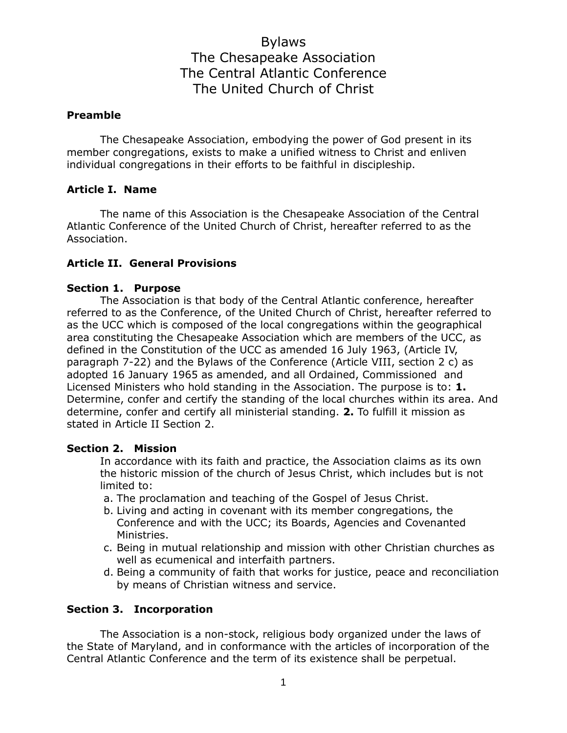## **Preamble**

The Chesapeake Association, embodying the power of God present in its member congregations, exists to make a unified witness to Christ and enliven individual congregations in their efforts to be faithful in discipleship.

## **Article I. Name**

The name of this Association is the Chesapeake Association of the Central Atlantic Conference of the United Church of Christ, hereafter referred to as the Association.

## **Article II. General Provisions**

## **Section 1. Purpose**

The Association is that body of the Central Atlantic conference, hereafter referred to as the Conference, of the United Church of Christ, hereafter referred to as the UCC which is composed of the local congregations within the geographical area constituting the Chesapeake Association which are members of the UCC, as defined in the Constitution of the UCC as amended 16 July 1963, (Article IV, paragraph 7-22) and the Bylaws of the Conference (Article VIII, section 2 c) as adopted 16 January 1965 as amended, and all Ordained, Commissioned and Licensed Ministers who hold standing in the Association. The purpose is to: **1.** Determine, confer and certify the standing of the local churches within its area. And determine, confer and certify all ministerial standing. **2.** To fulfill it mission as stated in Article II Section 2.

#### **Section 2. Mission**

In accordance with its faith and practice, the Association claims as its own the historic mission of the church of Jesus Christ, which includes but is not limited to:

- a. The proclamation and teaching of the Gospel of Jesus Christ.
- b. Living and acting in covenant with its member congregations, the Conference and with the UCC; its Boards, Agencies and Covenanted Ministries.
- c. Being in mutual relationship and mission with other Christian churches as well as ecumenical and interfaith partners.
- d. Being a community of faith that works for justice, peace and reconciliation by means of Christian witness and service.

## **Section 3. Incorporation**

The Association is a non-stock, religious body organized under the laws of the State of Maryland, and in conformance with the articles of incorporation of the Central Atlantic Conference and the term of its existence shall be perpetual.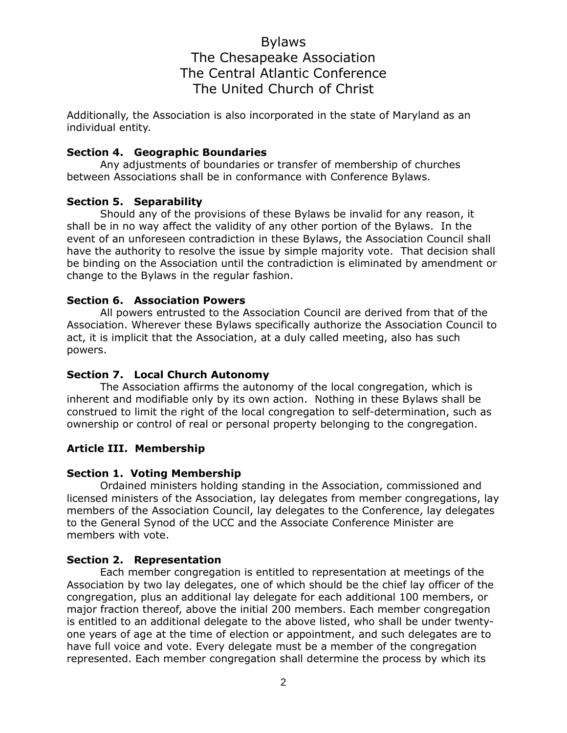Additionally, the Association is also incorporated in the state of Maryland as an individual entity.

#### **Section 4. Geographic Boundaries**

Any adjustments of boundaries or transfer of membership of churches between Associations shall be in conformance with Conference Bylaws.

## **Section 5. Separability**

Should any of the provisions of these Bylaws be invalid for any reason, it shall be in no way affect the validity of any other portion of the Bylaws. In the event of an unforeseen contradiction in these Bylaws, the Association Council shall have the authority to resolve the issue by simple majority vote. That decision shall be binding on the Association until the contradiction is eliminated by amendment or change to the Bylaws in the regular fashion.

## **Section 6. Association Powers**

All powers entrusted to the Association Council are derived from that of the Association. Wherever these Bylaws specifically authorize the Association Council to act, it is implicit that the Association, at a duly called meeting, also has such powers.

## **Section 7. Local Church Autonomy**

The Association affirms the autonomy of the local congregation, which is inherent and modifiable only by its own action. Nothing in these Bylaws shall be construed to limit the right of the local congregation to self-determination, such as ownership or control of real or personal property belonging to the congregation.

## **Article III. Membership**

#### **Section 1. Voting Membership**

Ordained ministers holding standing in the Association, commissioned and licensed ministers of the Association, lay delegates from member congregations, lay members of the Association Council, lay delegates to the Conference, lay delegates to the General Synod of the UCC and the Associate Conference Minister are members with vote.

#### **Section 2. Representation**

Each member congregation is entitled to representation at meetings of the Association by two lay delegates, one of which should be the chief lay officer of the congregation, plus an additional lay delegate for each additional 100 members, or major fraction thereof, above the initial 200 members. Each member congregation is entitled to an additional delegate to the above listed, who shall be under twentyone years of age at the time of election or appointment, and such delegates are to have full voice and vote. Every delegate must be a member of the congregation represented. Each member congregation shall determine the process by which its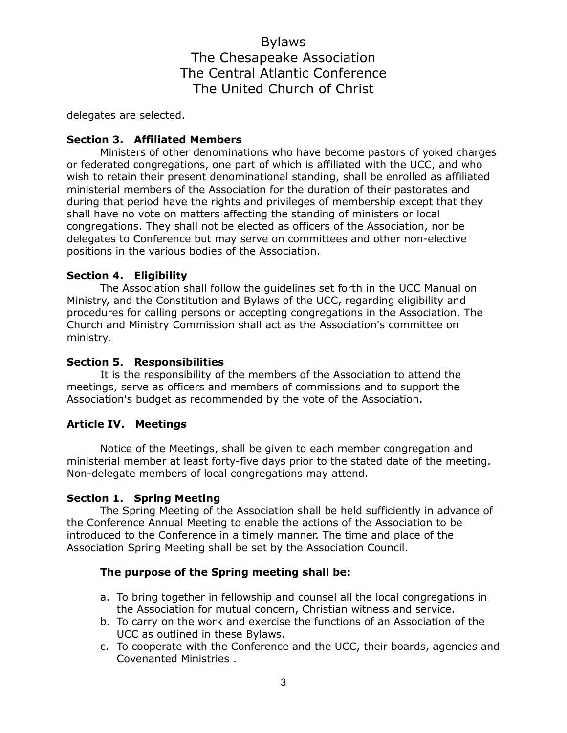delegates are selected.

## **Section 3. Affiliated Members**

Ministers of other denominations who have become pastors of yoked charges or federated congregations, one part of which is affiliated with the UCC, and who wish to retain their present denominational standing, shall be enrolled as affiliated ministerial members of the Association for the duration of their pastorates and during that period have the rights and privileges of membership except that they shall have no vote on matters affecting the standing of ministers or local congregations. They shall not be elected as officers of the Association, nor be delegates to Conference but may serve on committees and other non-elective positions in the various bodies of the Association.

## **Section 4. Eligibility**

The Association shall follow the guidelines set forth in the UCC Manual on Ministry, and the Constitution and Bylaws of the UCC, regarding eligibility and procedures for calling persons or accepting congregations in the Association. The Church and Ministry Commission shall act as the Association's committee on ministry.

## **Section 5. Responsibilities**

It is the responsibility of the members of the Association to attend the meetings, serve as officers and members of commissions and to support the Association's budget as recommended by the vote of the Association.

## **Article IV. Meetings**

Notice of the Meetings, shall be given to each member congregation and ministerial member at least forty-five days prior to the stated date of the meeting. Non-delegate members of local congregations may attend.

## **Section 1. Spring Meeting**

The Spring Meeting of the Association shall be held sufficiently in advance of the Conference Annual Meeting to enable the actions of the Association to be introduced to the Conference in a timely manner. The time and place of the Association Spring Meeting shall be set by the Association Council.

## **The purpose of the Spring meeting shall be:**

- a. To bring together in fellowship and counsel all the local congregations in the Association for mutual concern, Christian witness and service.
- b. To carry on the work and exercise the functions of an Association of the UCC as outlined in these Bylaws.
- c. To cooperate with the Conference and the UCC, their boards, agencies and Covenanted Ministries .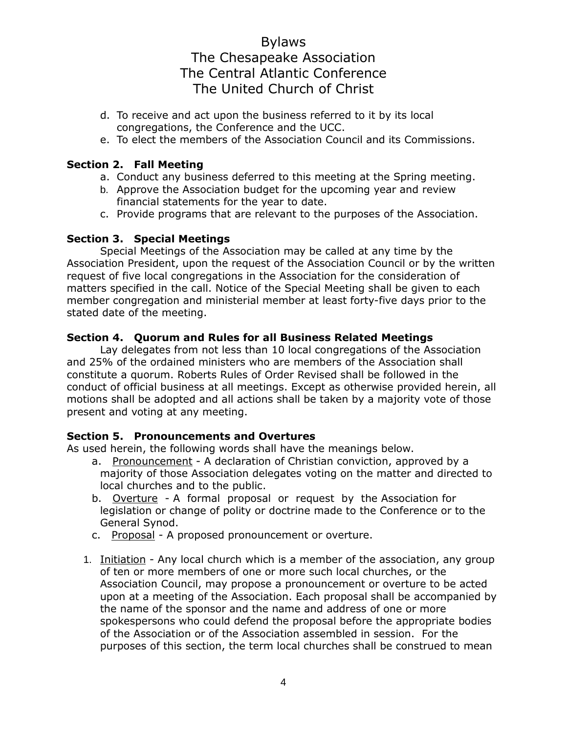- d. To receive and act upon the business referred to it by its local congregations, the Conference and the UCC.
- e. To elect the members of the Association Council and its Commissions.

## **Section 2. Fall Meeting**

- a. Conduct any business deferred to this meeting at the Spring meeting.
- b. Approve the Association budget for the upcoming year and review financial statements for the year to date.
- c. Provide programs that are relevant to the purposes of the Association.

## **Section 3. Special Meetings**

Special Meetings of the Association may be called at any time by the Association President, upon the request of the Association Council or by the written request of five local congregations in the Association for the consideration of matters specified in the call. Notice of the Special Meeting shall be given to each member congregation and ministerial member at least forty-five days prior to the stated date of the meeting.

## **Section 4. Quorum and Rules for all Business Related Meetings**

Lay delegates from not less than 10 local congregations of the Association and 25% of the ordained ministers who are members of the Association shall constitute a quorum. Roberts Rules of Order Revised shall be followed in the conduct of official business at all meetings. Except as otherwise provided herein, all motions shall be adopted and all actions shall be taken by a majority vote of those present and voting at any meeting.

## **Section 5. Pronouncements and Overtures**

As used herein, the following words shall have the meanings below.

- a. Pronouncement A declaration of Christian conviction, approved by a majority of those Association delegates voting on the matter and directed to local churches and to the public.
- b. Overture A formal proposal or request by the Association for legislation or change of polity or doctrine made to the Conference or to the General Synod.
- c. Proposal A proposed pronouncement or overture.
- 1. Initiation Any local church which is a member of the association, any group of ten or more members of one or more such local churches, or the Association Council, may propose a pronouncement or overture to be acted upon at a meeting of the Association. Each proposal shall be accompanied by the name of the sponsor and the name and address of one or more spokespersons who could defend the proposal before the appropriate bodies of the Association or of the Association assembled in session. For the purposes of this section, the term local churches shall be construed to mean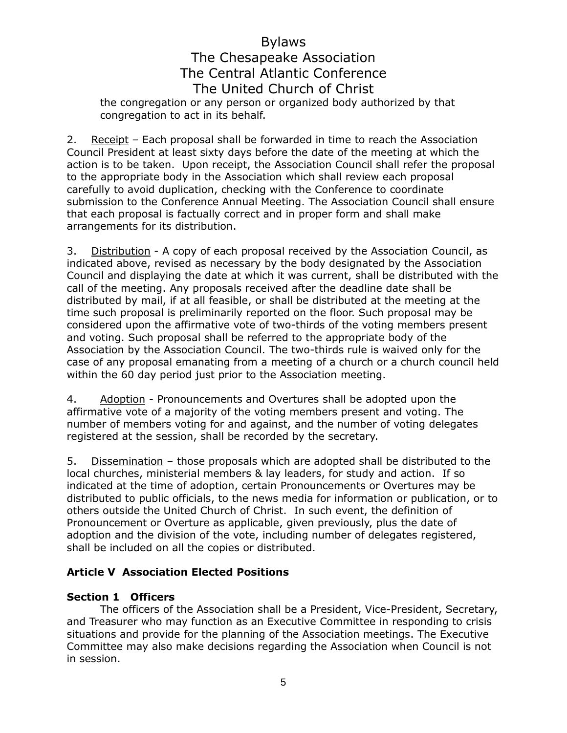## Bylaws The Chesapeake Association

## The Central Atlantic Conference

## The United Church of Christ

the congregation or any person or organized body authorized by that congregation to act in its behalf.

2. Receipt – Each proposal shall be forwarded in time to reach the Association Council President at least sixty days before the date of the meeting at which the action is to be taken. Upon receipt, the Association Council shall refer the proposal to the appropriate body in the Association which shall review each proposal carefully to avoid duplication, checking with the Conference to coordinate submission to the Conference Annual Meeting. The Association Council shall ensure that each proposal is factually correct and in proper form and shall make arrangements for its distribution.

3. Distribution - A copy of each proposal received by the Association Council, as indicated above, revised as necessary by the body designated by the Association Council and displaying the date at which it was current, shall be distributed with the call of the meeting. Any proposals received after the deadline date shall be distributed by mail, if at all feasible, or shall be distributed at the meeting at the time such proposal is preliminarily reported on the floor. Such proposal may be considered upon the affirmative vote of two-thirds of the voting members present and voting. Such proposal shall be referred to the appropriate body of the Association by the Association Council. The two-thirds rule is waived only for the case of any proposal emanating from a meeting of a church or a church council held within the 60 day period just prior to the Association meeting.

4. Adoption - Pronouncements and Overtures shall be adopted upon the affirmative vote of a majority of the voting members present and voting. The number of members voting for and against, and the number of voting delegates registered at the session, shall be recorded by the secretary.

5. Dissemination – those proposals which are adopted shall be distributed to the local churches, ministerial members & lay leaders, for study and action. If so indicated at the time of adoption, certain Pronouncements or Overtures may be distributed to public officials, to the news media for information or publication, or to others outside the United Church of Christ. In such event, the definition of Pronouncement or Overture as applicable, given previously, plus the date of adoption and the division of the vote, including number of delegates registered, shall be included on all the copies or distributed.

## **Article V Association Elected Positions**

## **Section 1 Officers**

The officers of the Association shall be a President, Vice-President, Secretary, and Treasurer who may function as an Executive Committee in responding to crisis situations and provide for the planning of the Association meetings. The Executive Committee may also make decisions regarding the Association when Council is not in session.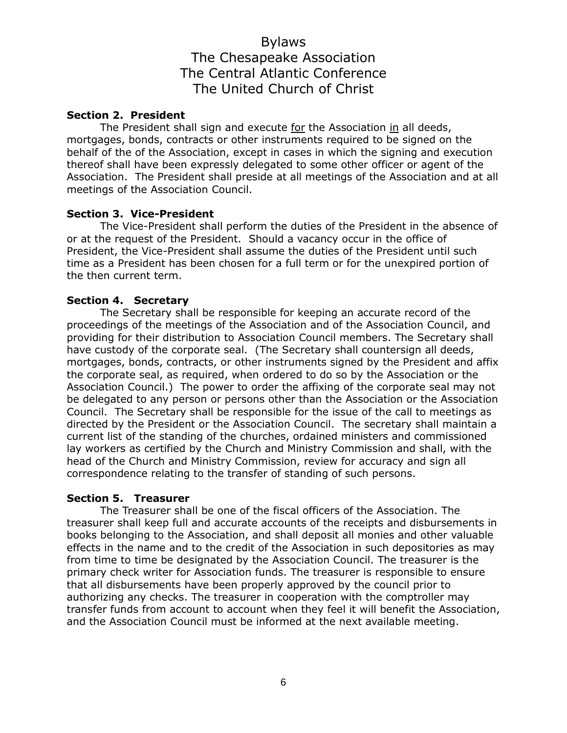#### **Section 2. President**

The President shall sign and execute for the Association in all deeds, mortgages, bonds, contracts or other instruments required to be signed on the behalf of the of the Association, except in cases in which the signing and execution thereof shall have been expressly delegated to some other officer or agent of the Association. The President shall preside at all meetings of the Association and at all meetings of the Association Council.

#### **Section 3. Vice-President**

The Vice-President shall perform the duties of the President in the absence of or at the request of the President. Should a vacancy occur in the office of President, the Vice-President shall assume the duties of the President until such time as a President has been chosen for a full term or for the unexpired portion of the then current term.

## **Section 4. Secretary**

The Secretary shall be responsible for keeping an accurate record of the proceedings of the meetings of the Association and of the Association Council, and providing for their distribution to Association Council members. The Secretary shall have custody of the corporate seal. (The Secretary shall countersign all deeds, mortgages, bonds, contracts, or other instruments signed by the President and affix the corporate seal, as required, when ordered to do so by the Association or the Association Council.) The power to order the affixing of the corporate seal may not be delegated to any person or persons other than the Association or the Association Council. The Secretary shall be responsible for the issue of the call to meetings as directed by the President or the Association Council. The secretary shall maintain a current list of the standing of the churches, ordained ministers and commissioned lay workers as certified by the Church and Ministry Commission and shall, with the head of the Church and Ministry Commission, review for accuracy and sign all correspondence relating to the transfer of standing of such persons.

#### **Section 5. Treasurer**

The Treasurer shall be one of the fiscal officers of the Association. The treasurer shall keep full and accurate accounts of the receipts and disbursements in books belonging to the Association, and shall deposit all monies and other valuable effects in the name and to the credit of the Association in such depositories as may from time to time be designated by the Association Council. The treasurer is the primary check writer for Association funds. The treasurer is responsible to ensure that all disbursements have been properly approved by the council prior to authorizing any checks. The treasurer in cooperation with the comptroller may transfer funds from account to account when they feel it will benefit the Association, and the Association Council must be informed at the next available meeting.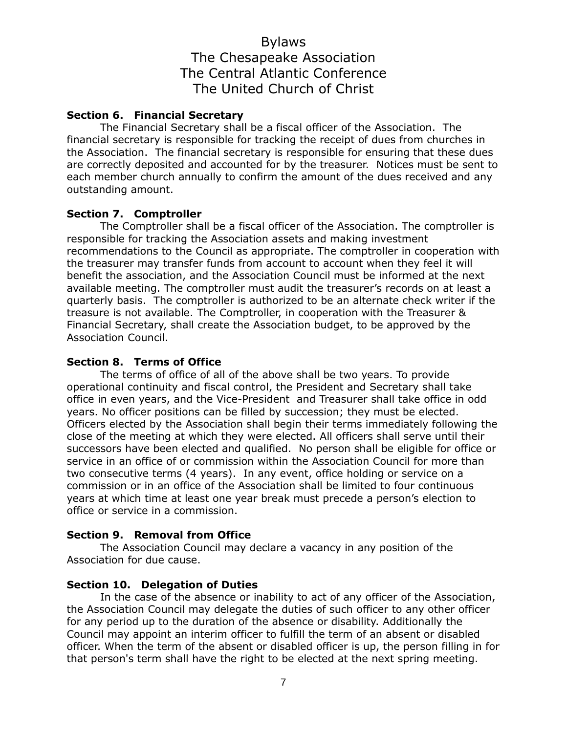## **Section 6. Financial Secretary**

The Financial Secretary shall be a fiscal officer of the Association. The financial secretary is responsible for tracking the receipt of dues from churches in the Association. The financial secretary is responsible for ensuring that these dues are correctly deposited and accounted for by the treasurer. Notices must be sent to each member church annually to confirm the amount of the dues received and any outstanding amount.

## **Section 7. Comptroller**

The Comptroller shall be a fiscal officer of the Association. The comptroller is responsible for tracking the Association assets and making investment recommendations to the Council as appropriate. The comptroller in cooperation with the treasurer may transfer funds from account to account when they feel it will benefit the association, and the Association Council must be informed at the next available meeting. The comptroller must audit the treasurer's records on at least a quarterly basis. The comptroller is authorized to be an alternate check writer if the treasure is not available. The Comptroller, in cooperation with the Treasurer & Financial Secretary, shall create the Association budget, to be approved by the Association Council.

## **Section 8. Terms of Office**

The terms of office of all of the above shall be two years. To provide operational continuity and fiscal control, the President and Secretary shall take office in even years, and the Vice-President and Treasurer shall take office in odd years. No officer positions can be filled by succession; they must be elected. Officers elected by the Association shall begin their terms immediately following the close of the meeting at which they were elected. All officers shall serve until their successors have been elected and qualified. No person shall be eligible for office or service in an office of or commission within the Association Council for more than two consecutive terms (4 years). In any event, office holding or service on a commission or in an office of the Association shall be limited to four continuous years at which time at least one year break must precede a person's election to office or service in a commission.

#### **Section 9. Removal from Office**

The Association Council may declare a vacancy in any position of the Association for due cause.

#### **Section 10. Delegation of Duties**

In the case of the absence or inability to act of any officer of the Association, the Association Council may delegate the duties of such officer to any other officer for any period up to the duration of the absence or disability. Additionally the Council may appoint an interim officer to fulfill the term of an absent or disabled officer. When the term of the absent or disabled officer is up, the person filling in for that person's term shall have the right to be elected at the next spring meeting.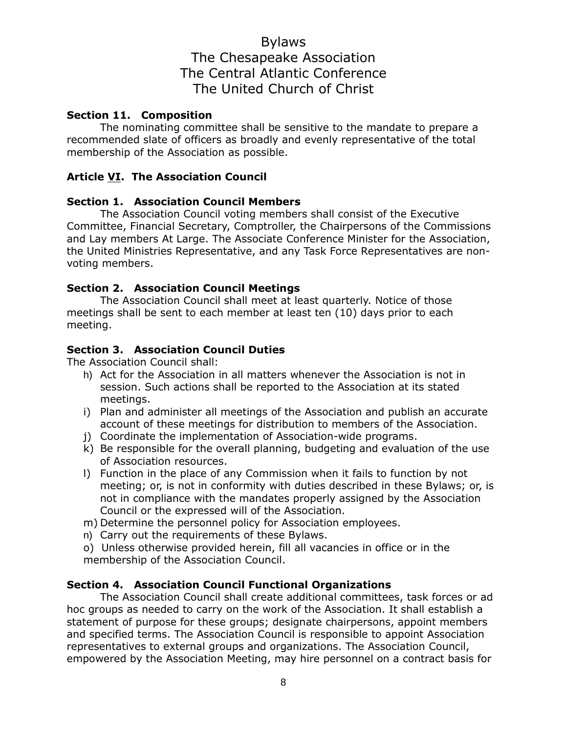## **Section 11. Composition**

The nominating committee shall be sensitive to the mandate to prepare a recommended slate of officers as broadly and evenly representative of the total membership of the Association as possible.

## **Article VI. The Association Council**

## **Section 1. Association Council Members**

The Association Council voting members shall consist of the Executive Committee, Financial Secretary, Comptroller, the Chairpersons of the Commissions and Lay members At Large. The Associate Conference Minister for the Association, the United Ministries Representative, and any Task Force Representatives are nonvoting members.

## **Section 2. Association Council Meetings**

The Association Council shall meet at least quarterly. Notice of those meetings shall be sent to each member at least ten (10) days prior to each meeting.

## **Section 3. Association Council Duties**

The Association Council shall:

- h) Act for the Association in all matters whenever the Association is not in session. Such actions shall be reported to the Association at its stated meetings.
- i) Plan and administer all meetings of the Association and publish an accurate account of these meetings for distribution to members of the Association.
- j) Coordinate the implementation of Association-wide programs.
- k) Be responsible for the overall planning, budgeting and evaluation of the use of Association resources.
- l) Function in the place of any Commission when it fails to function by not meeting; or, is not in conformity with duties described in these Bylaws; or, is not in compliance with the mandates properly assigned by the Association Council or the expressed will of the Association.
- m) Determine the personnel policy for Association employees.
- n) Carry out the requirements of these Bylaws.
- o) Unless otherwise provided herein, fill all vacancies in office or in the membership of the Association Council.

#### **Section 4. Association Council Functional Organizations**

The Association Council shall create additional committees, task forces or ad hoc groups as needed to carry on the work of the Association. It shall establish a statement of purpose for these groups; designate chairpersons, appoint members and specified terms. The Association Council is responsible to appoint Association representatives to external groups and organizations. The Association Council, empowered by the Association Meeting, may hire personnel on a contract basis for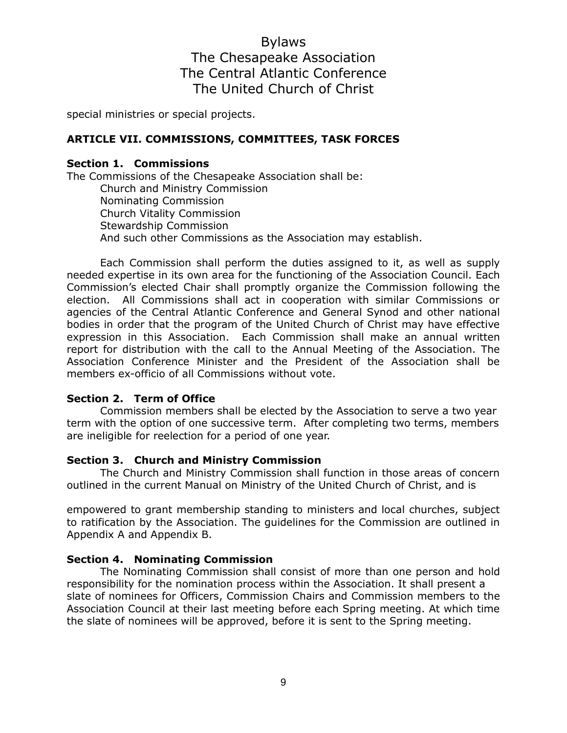special ministries or special projects.

#### **ARTICLE VII. COMMISSIONS, COMMITTEES, TASK FORCES**

## **Section 1. Commissions**

The Commissions of the Chesapeake Association shall be: Church and Ministry Commission Nominating Commission Church Vitality Commission Stewardship Commission And such other Commissions as the Association may establish.

Each Commission shall perform the duties assigned to it, as well as supply needed expertise in its own area for the functioning of the Association Council. Each Commission's elected Chair shall promptly organize the Commission following the election. All Commissions shall act in cooperation with similar Commissions or agencies of the Central Atlantic Conference and General Synod and other national bodies in order that the program of the United Church of Christ may have effective expression in this Association. Each Commission shall make an annual written report for distribution with the call to the Annual Meeting of the Association. The Association Conference Minister and the President of the Association shall be members ex-officio of all Commissions without vote.

#### **Section 2. Term of Office**

Commission members shall be elected by the Association to serve a two year term with the option of one successive term. After completing two terms, members are ineligible for reelection for a period of one year.

#### **Section 3. Church and Ministry Commission**

The Church and Ministry Commission shall function in those areas of concern outlined in the current Manual on Ministry of the United Church of Christ, and is

empowered to grant membership standing to ministers and local churches, subject to ratification by the Association. The guidelines for the Commission are outlined in Appendix A and Appendix B.

#### **Section 4. Nominating Commission**

The Nominating Commission shall consist of more than one person and hold responsibility for the nomination process within the Association. It shall present a slate of nominees for Officers, Commission Chairs and Commission members to the Association Council at their last meeting before each Spring meeting. At which time the slate of nominees will be approved, before it is sent to the Spring meeting.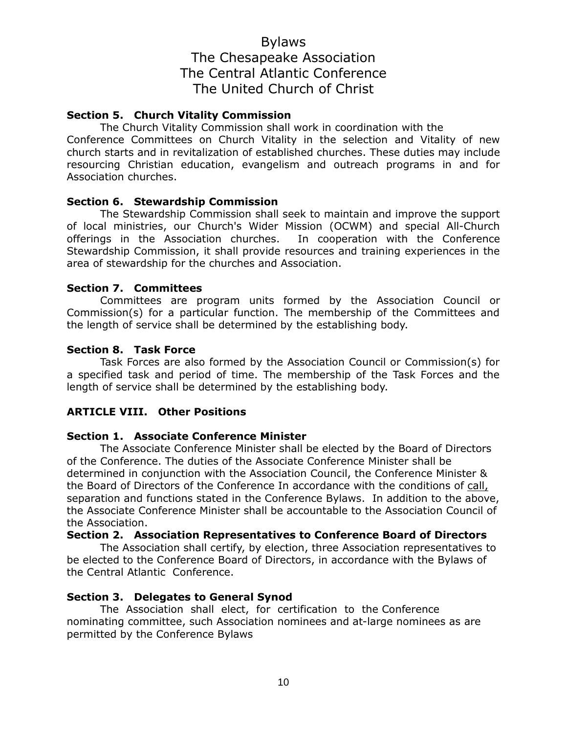## **Section 5. Church Vitality Commission**

The Church Vitality Commission shall work in coordination with the

Conference Committees on Church Vitality in the selection and Vitality of new church starts and in revitalization of established churches. These duties may include resourcing Christian education, evangelism and outreach programs in and for Association churches.

## **Section 6. Stewardship Commission**

The Stewardship Commission shall seek to maintain and improve the support of local ministries, our Church's Wider Mission (OCWM) and special All-Church offerings in the Association churches. In cooperation with the Conference Stewardship Commission, it shall provide resources and training experiences in the area of stewardship for the churches and Association.

## **Section 7. Committees**

Committees are program units formed by the Association Council or Commission(s) for a particular function. The membership of the Committees and the length of service shall be determined by the establishing body.

## **Section 8. Task Force**

Task Forces are also formed by the Association Council or Commission(s) for a specified task and period of time. The membership of the Task Forces and the length of service shall be determined by the establishing body.

## **ARTICLE VIII. Other Positions**

## **Section 1. Associate Conference Minister**

The Associate Conference Minister shall be elected by the Board of Directors of the Conference. The duties of the Associate Conference Minister shall be determined in conjunction with the Association Council, the Conference Minister & the Board of Directors of the Conference In accordance with the conditions of call, separation and functions stated in the Conference Bylaws. In addition to the above, the Associate Conference Minister shall be accountable to the Association Council of the Association.

## **Section 2. Association Representatives to Conference Board of Directors**

The Association shall certify, by election, three Association representatives to be elected to the Conference Board of Directors, in accordance with the Bylaws of the Central Atlantic Conference.

## **Section 3. Delegates to General Synod**

The Association shall elect, for certification to the Conference nominating committee, such Association nominees and at-large nominees as are permitted by the Conference Bylaws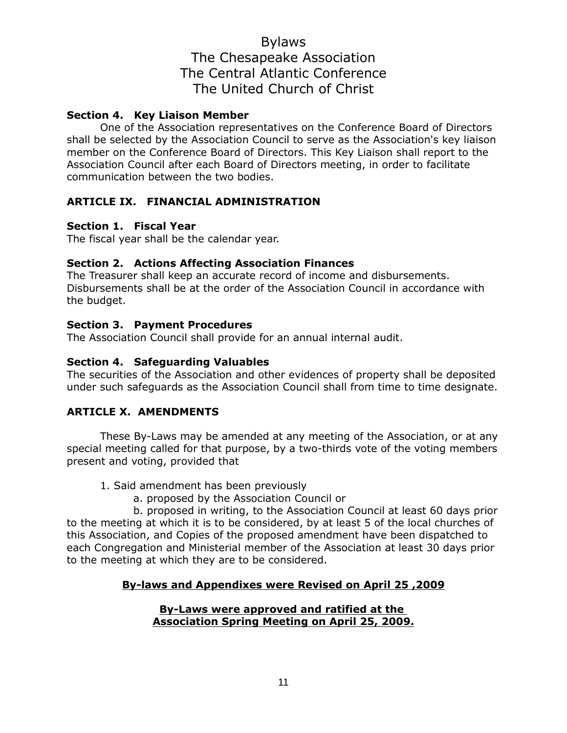## **Section 4. Key Liaison Member**

One of the Association representatives on the Conference Board of Directors shall be selected by the Association Council to serve as the Association's key liaison member on the Conference Board of Directors. This Key Liaison shall report to the Association Council after each Board of Directors meeting, in order to facilitate communication between the two bodies.

## **ARTICLE IX. FINANCIAL ADMINISTRATION**

## **Section 1. Fiscal Year**

The fiscal year shall be the calendar year.

## **Section 2. Actions Affecting Association Finances**

The Treasurer shall keep an accurate record of income and disbursements. Disbursements shall be at the order of the Association Council in accordance with the budget.

#### **Section 3. Payment Procedures**

The Association Council shall provide for an annual internal audit.

## **Section 4. Safeguarding Valuables**

The securities of the Association and other evidences of property shall be deposited under such safeguards as the Association Council shall from time to time designate.

## **ARTICLE X. AMENDMENTS**

These By-Laws may be amended at any meeting of the Association, or at any special meeting called for that purpose, by a two-thirds vote of the voting members present and voting, provided that

- 1. Said amendment has been previously
	- a. proposed by the Association Council or

b. proposed in writing, to the Association Council at least 60 days prior to the meeting at which it is to be considered, by at least 5 of the local churches of this Association, and Copies of the proposed amendment have been dispatched to each Congregation and Ministerial member of the Association at least 30 days prior to the meeting at which they are to be considered.

## **By-laws and Appendixes were Revised on April 25 ,2009**

#### **By-Laws were approved and ratified at the Association Spring Meeting on April 25, 2009.**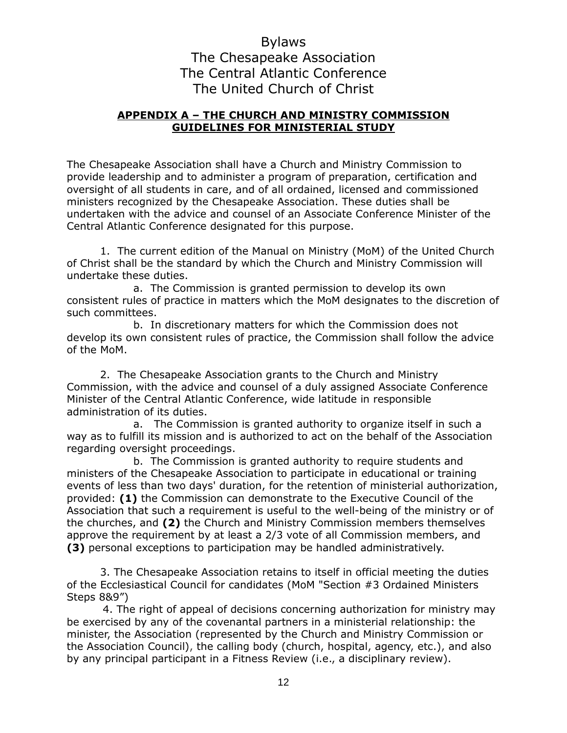## **APPENDIX A – THE CHURCH AND MINISTRY COMMISSION GUIDELINES FOR MINISTERIAL STUDY**

The Chesapeake Association shall have a Church and Ministry Commission to provide leadership and to administer a program of preparation, certification and oversight of all students in care, and of all ordained, licensed and commissioned ministers recognized by the Chesapeake Association. These duties shall be undertaken with the advice and counsel of an Associate Conference Minister of the Central Atlantic Conference designated for this purpose.

1. The current edition of the Manual on Ministry (MoM) of the United Church of Christ shall be the standard by which the Church and Ministry Commission will undertake these duties.

a. The Commission is granted permission to develop its own consistent rules of practice in matters which the MoM designates to the discretion of such committees.

b. In discretionary matters for which the Commission does not develop its own consistent rules of practice, the Commission shall follow the advice of the MoM.

2. The Chesapeake Association grants to the Church and Ministry Commission, with the advice and counsel of a duly assigned Associate Conference Minister of the Central Atlantic Conference, wide latitude in responsible administration of its duties.

a. The Commission is granted authority to organize itself in such a way as to fulfill its mission and is authorized to act on the behalf of the Association regarding oversight proceedings.

b. The Commission is granted authority to require students and ministers of the Chesapeake Association to participate in educational or training events of less than two days' duration, for the retention of ministerial authorization, provided: **(1)** the Commission can demonstrate to the Executive Council of the Association that such a requirement is useful to the well-being of the ministry or of the churches, and **(2)** the Church and Ministry Commission members themselves approve the requirement by at least a 2/3 vote of all Commission members, and **(3)** personal exceptions to participation may be handled administratively.

3. The Chesapeake Association retains to itself in official meeting the duties of the Ecclesiastical Council for candidates (MoM "Section #3 Ordained Ministers Steps 8&9")

 4. The right of appeal of decisions concerning authorization for ministry may be exercised by any of the covenantal partners in a ministerial relationship: the minister, the Association (represented by the Church and Ministry Commission or the Association Council), the calling body (church, hospital, agency, etc.), and also by any principal participant in a Fitness Review (i.e., a disciplinary review).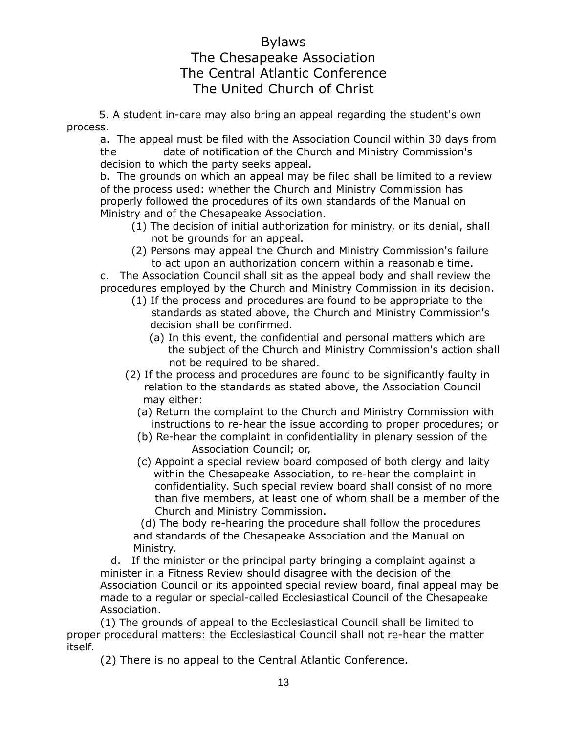5. A student in-care may also bring an appeal regarding the student's own process.

a. The appeal must be filed with the Association Council within 30 days from the date of notification of the Church and Ministry Commission's decision to which the party seeks appeal.

b. The grounds on which an appeal may be filed shall be limited to a review of the process used: whether the Church and Ministry Commission has properly followed the procedures of its own standards of the Manual on Ministry and of the Chesapeake Association.

- (1) The decision of initial authorization for ministry, or its denial, shall not be grounds for an appeal.
- (2) Persons may appeal the Church and Ministry Commission's failure to act upon an authorization concern within a reasonable time.

c. The Association Council shall sit as the appeal body and shall review the procedures employed by the Church and Ministry Commission in its decision.

- (1) If the process and procedures are found to be appropriate to the standards as stated above, the Church and Ministry Commission's decision shall be confirmed.
	- (a) In this event, the confidential and personal matters which are the subject of the Church and Ministry Commission's action shall not be required to be shared.
- (2) If the process and procedures are found to be significantly faulty in relation to the standards as stated above, the Association Council may either:
	- (a) Return the complaint to the Church and Ministry Commission with instructions to re-hear the issue according to proper procedures; or
	- (b) Re-hear the complaint in confidentiality in plenary session of the Association Council; or,
	- (c) Appoint a special review board composed of both clergy and laity within the Chesapeake Association, to re-hear the complaint in confidentiality. Such special review board shall consist of no more than five members, at least one of whom shall be a member of the Church and Ministry Commission.

 (d) The body re-hearing the procedure shall follow the procedures and standards of the Chesapeake Association and the Manual on Ministry.

 d. If the minister or the principal party bringing a complaint against a minister in a Fitness Review should disagree with the decision of the Association Council or its appointed special review board, final appeal may be made to a regular or special-called Ecclesiastical Council of the Chesapeake Association.

(1) The grounds of appeal to the Ecclesiastical Council shall be limited to proper procedural matters: the Ecclesiastical Council shall not re-hear the matter itself.

(2) There is no appeal to the Central Atlantic Conference.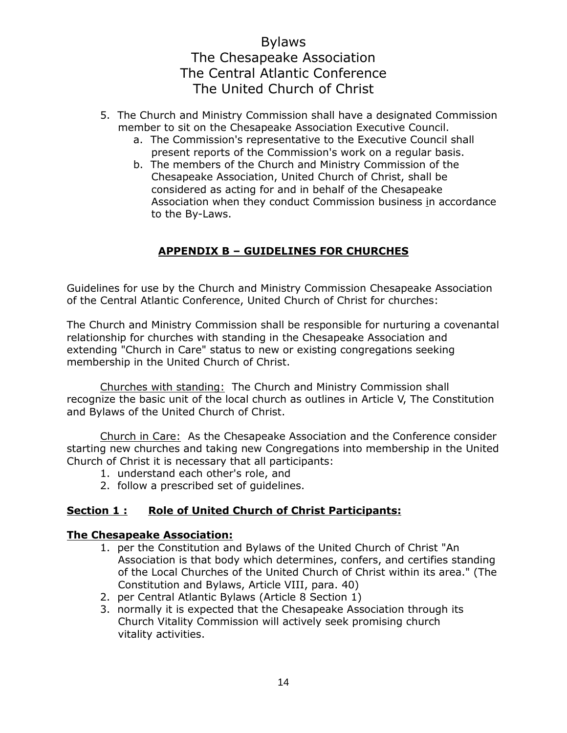- 5. The Church and Ministry Commission shall have a designated Commission member to sit on the Chesapeake Association Executive Council.
	- a. The Commission's representative to the Executive Council shall present reports of the Commission's work on a regular basis.
	- b. The members of the Church and Ministry Commission of the Chesapeake Association, United Church of Christ, shall be considered as acting for and in behalf of the Chesapeake Association when they conduct Commission business in accordance to the By-Laws.

## **APPENDIX B – GUIDELINES FOR CHURCHES**

Guidelines for use by the Church and Ministry Commission Chesapeake Association of the Central Atlantic Conference, United Church of Christ for churches:

The Church and Ministry Commission shall be responsible for nurturing a covenantal relationship for churches with standing in the Chesapeake Association and extending "Church in Care" status to new or existing congregations seeking membership in the United Church of Christ.

Churches with standing: The Church and Ministry Commission shall recognize the basic unit of the local church as outlines in Article V, The Constitution and Bylaws of the United Church of Christ.

Church in Care: As the Chesapeake Association and the Conference consider starting new churches and taking new Congregations into membership in the United Church of Christ it is necessary that all participants:

- 1. understand each other's role, and
- 2. follow a prescribed set of guidelines.

## **Section 1 : Role of United Church of Christ Participants:**

## **The Chesapeake Association:**

- 1. per the Constitution and Bylaws of the United Church of Christ "An Association is that body which determines, confers, and certifies standing of the Local Churches of the United Church of Christ within its area." (The Constitution and Bylaws, Article VIII, para. 40)
- 2. per Central Atlantic Bylaws (Article 8 Section 1)
- 3. normally it is expected that the Chesapeake Association through its Church Vitality Commission will actively seek promising church vitality activities.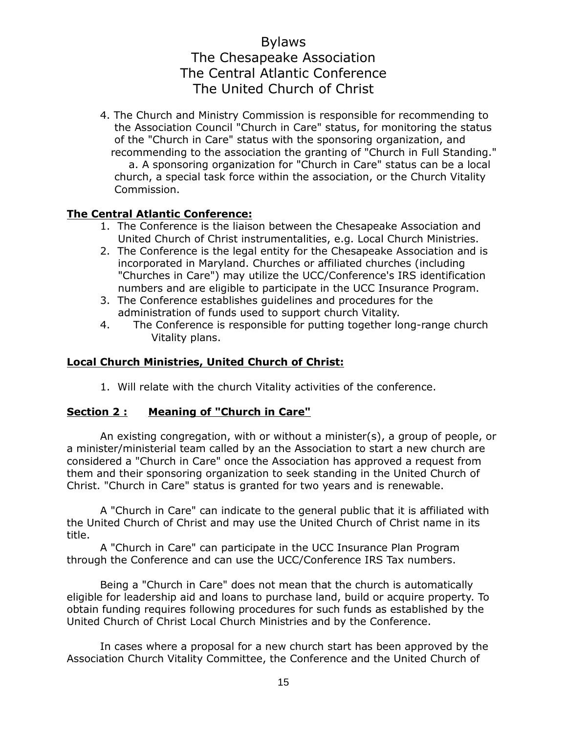4. The Church and Ministry Commission is responsible for recommending to the Association Council "Church in Care" status, for monitoring the status of the "Church in Care" status with the sponsoring organization, and recommending to the association the granting of "Church in Full Standing." a. A sponsoring organization for "Church in Care" status can be a local church, a special task force within the association, or the Church Vitality Commission.

## **The Central Atlantic Conference:**

- 1. The Conference is the liaison between the Chesapeake Association and United Church of Christ instrumentalities, e.g. Local Church Ministries.
- 2. The Conference is the legal entity for the Chesapeake Association and is incorporated in Maryland. Churches or affiliated churches (including "Churches in Care") may utilize the UCC/Conference's IRS identification numbers and are eligible to participate in the UCC Insurance Program.
- 3. The Conference establishes guidelines and procedures for the administration of funds used to support church Vitality.
- 4. The Conference is responsible for putting together long-range church Vitality plans.

## **Local Church Ministries, United Church of Christ:**

1. Will relate with the church Vitality activities of the conference.

## **Section 2 : Meaning of "Church in Care"**

An existing congregation, with or without a minister(s), a group of people, or a minister/ministerial team called by an the Association to start a new church are considered a "Church in Care" once the Association has approved a request from them and their sponsoring organization to seek standing in the United Church of Christ. "Church in Care" status is granted for two years and is renewable.

A "Church in Care" can indicate to the general public that it is affiliated with the United Church of Christ and may use the United Church of Christ name in its title.

A "Church in Care" can participate in the UCC Insurance Plan Program through the Conference and can use the UCC/Conference IRS Tax numbers.

Being a "Church in Care" does not mean that the church is automatically eligible for leadership aid and loans to purchase land, build or acquire property. To obtain funding requires following procedures for such funds as established by the United Church of Christ Local Church Ministries and by the Conference.

In cases where a proposal for a new church start has been approved by the Association Church Vitality Committee, the Conference and the United Church of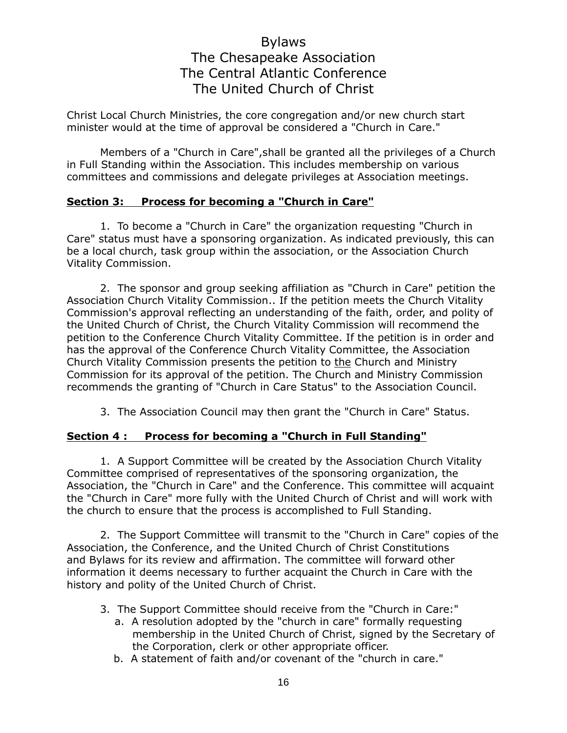Christ Local Church Ministries, the core congregation and/or new church start minister would at the time of approval be considered a "Church in Care."

Members of a "Church in Care",shall be granted all the privileges of a Church in Full Standing within the Association. This includes membership on various committees and commissions and delegate privileges at Association meetings.

## **Section 3: Process for becoming a "Church in Care"**

1. To become a "Church in Care" the organization requesting "Church in Care" status must have a sponsoring organization. As indicated previously, this can be a local church, task group within the association, or the Association Church Vitality Commission.

2. The sponsor and group seeking affiliation as "Church in Care" petition the Association Church Vitality Commission.. If the petition meets the Church Vitality Commission's approval reflecting an understanding of the faith, order, and polity of the United Church of Christ, the Church Vitality Commission will recommend the petition to the Conference Church Vitality Committee. If the petition is in order and has the approval of the Conference Church Vitality Committee, the Association Church Vitality Commission presents the petition to the Church and Ministry Commission for its approval of the petition. The Church and Ministry Commission recommends the granting of "Church in Care Status" to the Association Council.

3. The Association Council may then grant the "Church in Care" Status.

#### **Section 4 : Process for becoming a "Church in Full Standing"**

1. A Support Committee will be created by the Association Church Vitality Committee comprised of representatives of the sponsoring organization, the Association, the "Church in Care" and the Conference. This committee will acquaint the "Church in Care" more fully with the United Church of Christ and will work with the church to ensure that the process is accomplished to Full Standing.

2. The Support Committee will transmit to the "Church in Care" copies of the Association, the Conference, and the United Church of Christ Constitutions and Bylaws for its review and affirmation. The committee will forward other information it deems necessary to further acquaint the Church in Care with the history and polity of the United Church of Christ.

- 3. The Support Committee should receive from the "Church in Care:"
	- a. A resolution adopted by the "church in care" formally requesting membership in the United Church of Christ, signed by the Secretary of the Corporation, clerk or other appropriate officer.
	- b. A statement of faith and/or covenant of the "church in care."